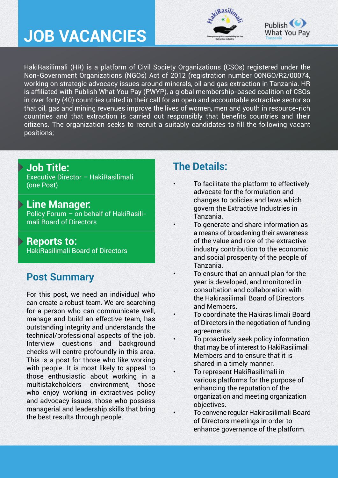# **JOB VACANCIES**





HakiRasilimali (HR) is a platform of Civil Society Organizations (CSOs) registered under the Non-Government Organizations (NGOs) Act of 2012 (registration number 00NGO/R2/00074, working on strategic advocacy issues around minerals, oil and gas extraction in Tanzania. HR is affiliated with Publish What You Pay (PWYP), a global membership-based coalition of CSOs in over forty (40) countries united in their call for an open and accountable extractive sector so that oil, gas and mining revenues improve the lives of women, men and youth in resource-rich countries and that extraction is carried out responsibly that benefits countries and their citizens. The organization seeks to recruit a suitably candidates to fill the following vacant positions;

#### **Job Title:**

Executive Director – HakiRasilimali (one Post)

**Line Manager:**  Policy Forum – on behalf of HakiRasili-

mali Board of Directors

#### **Reports to:**

HakiRasilimali Board of Directors

## **Post Summary**

For this post, we need an individual who can create a robust team. We are searching for a person who can communicate well, manage and build an effective team, has outstanding integrity and understands the technical/professional aspects of the job. Interview questions and background checks will centre profoundly in this area. This is a post for those who like working with people. It is most likely to appeal to those enthusiastic about working in a multistakeholders environment, those who enjoy working in extractives policy and advocacy issues, those who possess managerial and leadership skills that bring the best results through people.

### **The Details:**

- To facilitate the platform to effectively advocate for the formulation and changes to policies and laws which govern the Extractive Industries in Tanzania.
- To generate and share information as a means of broadening their awareness of the value and role of the extractive industry contribution to the economic and social prosperity of the people of Tanzania.
- To ensure that an annual plan for the year is developed, and monitored in consultation and collaboration with the Hakirasilimali Board of Directors and Members.
- To coordinate the Hakirasilimali Board of Directors in the negotiation of funding agreements.
- To proactively seek policy information that may be of interest to HakiRasilimali Members and to ensure that it is shared in a timely manner.
- To represent HakiRasilimali in various platforms for the purpose of enhancing the reputation of the organization and meeting organization objectives.
- To convene regular Hakirasilimali Board of Directors meetings in order to enhance governance of the platform.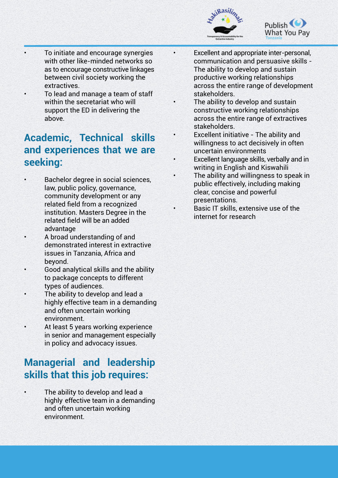



- To initiate and encourage synergies with other like-minded networks so as to encourage constructive linkages between civil society working the extractives.
- To lead and manage a team of staff within the secretariat who will support the ED in delivering the above.

### **Academic, Technical skills and experiences that we are seeking:**

- Bachelor degree in social sciences, law, public policy, governance, community development or any related field from a recognized institution. Masters Degree in the related field will be an added advantage
- A broad understanding of and demonstrated interest in extractive issues in Tanzania, Africa and beyond.
- Good analytical skills and the ability to package concepts to different types of audiences.
- The ability to develop and lead a highly effective team in a demanding and often uncertain working environment.
- At least 5 years working experience in senior and management especially in policy and advocacy issues.

## **Managerial and leadership skills that this job requires:**

The ability to develop and lead a highly effective team in a demanding and often uncertain working environment.

- Excellent and appropriate inter-personal, communication and persuasive skills - The ability to develop and sustain productive working relationships across the entire range of development stakeholders.
- The ability to develop and sustain constructive working relationships across the entire range of extractives stakeholders.
- Excellent initiative The ability and willingness to act decisively in often uncertain environments
- Excellent language skills, verbally and in writing in English and Kiswahili
- The ability and willingness to speak in public effectively, including making clear, concise and powerful presentations.
	- Basic IT skills, extensive use of the internet for research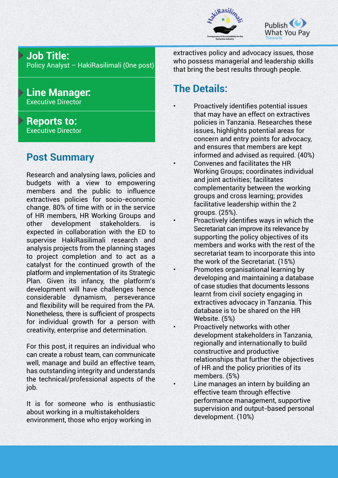



#### **Job Title:**

Policy Analyst – HakiRasilimali (0ne post)

#### **Line Manager:**  Executive Director

#### **Reports to:**  Executive Director

## **Post Summary**

Research and analysing laws, policies and budgets with a view to empowering members and the public to influence extractives policies for socio-economic change. 80% of time with or in the service of HR members, HR Working Groups and other development stakeholders. is expected in collaboration with the ED to supervise HakiRasilimali research and analysis projects from the planning stages to project completion and to act as a catalyst for the continued growth of the platform and implementation of its Strategic Plan. Given its infancy, the platform's development will have challenges hence considerable dynamism, perseverance and flexibility will be required from the PA. Nonetheless, there is sufficient of prospects for individual growth for a person with creativity, enterprise and determination.

For this post, it requires an individual who can create a robust team, can communicate well, manage and build an effective team, has outstanding integrity and understands the technical/professional aspects of the job.

It is for someone who is enthusiastic about working in a multistakeholders environment, those who enjoy working in

extractives policy and advocacy issues, those who possess managerial and leadership skills that bring the best results through people.

## **The Details:**

- Proactively identifies potential issues that may have an effect on extractives policies in Tanzania. Researches these issues, highlights potential areas for concern and entry points for advocacy, and ensures that members are kept informed and advised as required. (40%)
- Convenes and facilitates the HR Working Groups; coordinates individual and joint activities; facilitates complementarity between the working groups and cross learning; provides facilitative leadership within the 2 groups. (25%).
- Proactively identifies ways in which the Secretariat can improve its relevance by supporting the policy objectives of its members and works with the rest of the secretariat team to incorporate this into the work of the Secretariat. (15%)
- Promotes organisational learning by developing and maintaining a database of case studies that documents lessons learnt from civil society engaging in extractives advocacy in Tanzania. This database is to be shared on the HR Website. (5%)
	- Proactively networks with other development stakeholders in Tanzania, regionally and internationally to build constructive and productive relationships that further the objectives of HR and the policy priorities of its members. (5%)
- Line manages an intern by building an effective team through effective performance management, supportive supervision and output-based personal development. (10%)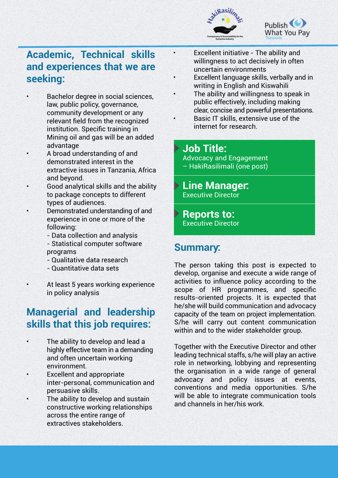



## **Academic, Technical skills and experiences that we are seeking:**

- Bachelor degree in social sciences. law, public policy, governance, community development or any relevant field from the recognized institution. Specific training in Mining oil and gas will be an added advantage
- A broad understanding of and demonstrated interest in the extractive issues in Tanzania, Africa and beyond.
- Good analytical skills and the ability to package concepts to different types of audiences.
- Demonstrated understanding of and experience in one or more of the following:
	- Data collection and analysis
	- Statistical computer software programs
	- Qualitative data research
	- Quantitative data sets
- At least 5 years working experience in policy analysis

## **Managerial and leadership skills that this job requires:**

- The ability to develop and lead a highly effective team in a demanding and often uncertain working environment.
- **Excellent and appropriate**  inter-personal, communication and persuasive skills.
- The ability to develop and sustain constructive working relationships across the entire range of extractives stakeholders.
- Excellent initiative The ability and willingness to act decisively in often uncertain environments
- Excellent language skills, verbally and in writing in English and Kiswahili
- The ability and willingness to speak in public effectively, including making clear, concise and powerful presentations.
- Basic IT skills, extensive use of the internet for research.

#### **Job Title:**

- Advocacy and Engagement – HakiRasilimali (one post)
- **Line Manager:**  Executive Director
- **Reports to:**  Executive Director

#### **Summary:**

The person taking this post is expected to develop, organise and execute a wide range of activities to influence policy according to the scope of HR programmes, and specific results-oriented projects. It is expected that he/she will build communication and advocacy capacity of the team on project implementation. S/he will carry out content communication within and to the wider stakeholder group.

Together with the Executive Director and other leading technical staffs, s/he will play an active role in networking, lobbying and representing the organisation in a wide range of general advocacy and policy issues at events, conventions and media opportunities. S/he will be able to integrate communication tools and channels in her/his work.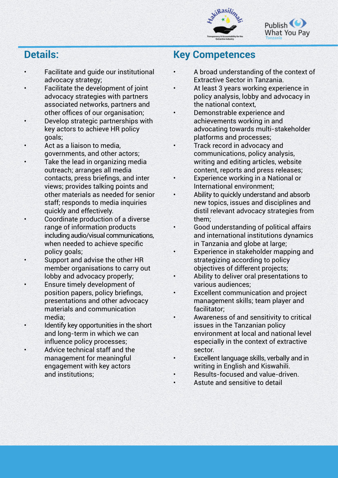



#### **Details:**

- Facilitate and guide our institutional advocacy strategy;
- Facilitate the development of joint advocacy strategies with partners associated networks, partners and other offices of our organisation;
- Develop strategic partnerships with key actors to achieve HR policy goals;
- Act as a liaison to media, governments, and other actors;
- Take the lead in organizing media outreach; arranges all media contacts, press briefings, and inter views; provides talking points and other materials as needed for senior staff; responds to media inquiries quickly and effectively.
- Coordinate production of a diverse range of information products including audio/visual communications, when needed to achieve specific policy goals;
- Support and advise the other HR member organisations to carry out lobby and advocacy properly;
- Ensure timely development of position papers, policy briefings, presentations and other advocacy materials and communication media;
- Identify key opportunities in the short and long-term in which we can influence policy processes;
- Advice technical staff and the management for meaningful engagement with key actors and institutions;

#### **Key Competences**

- A broad understanding of the context of Extractive Sector in Tanzania.
- At least 3 years working experience in policy analysis, lobby and advocacy in the national context,
- Demonstrable experience and achievements working in and advocating towards multi-stakeholder platforms and processes;
- Track record in advocacy and communications, policy analysis, writing and editing articles, website content, reports and press releases;
- Experience working in a National or International environment;
- Ability to quickly understand and absorb new topics, issues and disciplines and distil relevant advocacy strategies from them;
- Good understanding of political affairs and international institutions dynamics in Tanzania and globe at large;
- Experience in stakeholder mapping and strategizing according to policy objectives of different projects;
- Ability to deliver oral presentations to various audiences;
- Excellent communication and project management skills; team player and facilitator;
- Awareness of and sensitivity to critical issues in the Tanzanian policy environment at local and national level especially in the context of extractive sector.
- Excellent language skills, verbally and in writing in English and Kiswahili.
- Results-focused and value-driven.
- Astute and sensitive to detail